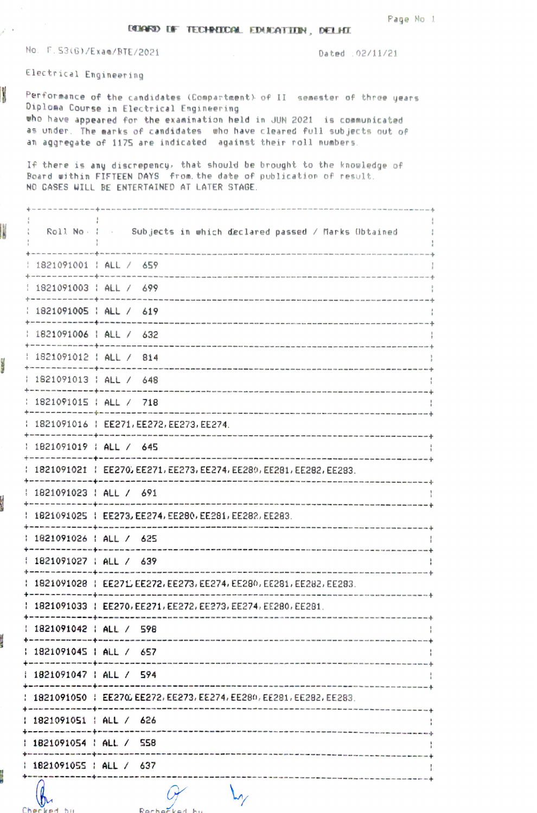DENNED DE TECHNICOM. EDUCATION, DELHI

No. F.53(G)/Exam/BTE/2021

Dated : 02/11/21

Electrical Engineering

 $\lambda^2 = 1$ 

I

Parties.

ł

**CONTRACTOR** 

Charlend his

Performance of the candidates (Compartment) of II semester of three years Diploma Course in Electrical Engineering who have appeared for the examination held in JUN 2021 is communicated as under. The marks of candidates who have cleared full subjects out of an aggregate of 1175 are indicated against their roll numbers.

If there is any discrepency, that should be brought to the knowledge of Board within FIFTEEN DAYS from the date of publication of result. NO CASES WILL BE ENTERTAINED AT LATER STAGE.

|                           | Roll No. : . Subjects in which declared passed / Marks Obtained      |
|---------------------------|----------------------------------------------------------------------|
| and an an ann an an an ab | 1821091001   ALL / 659                                               |
| -----------               | 1821091003   ALL / 699                                               |
|                           | 1821091005   ALL / 619                                               |
| -----------------         | 1821091006   ALL / 632                                               |
|                           | 1821091012   ALL / 814                                               |
|                           | 1821091013   ALL / 648                                               |
|                           | 1821091015   ALL / 718                                               |
|                           | 1821091016   EE271, EE272, EE273, EE274.                             |
|                           | 1821091019   ALL / 645                                               |
|                           | 1821091021   EE270, EE271, EE273, EE274, EE280, EE281, EE282, EE283. |
|                           | 1821091023   ALL / 691                                               |
|                           | 1821091025   EE273, EE274, EE280, EE281, EE282, EE283.               |
| 1821091026   ALL / 625    |                                                                      |
|                           | 1821091027   ALL / 639                                               |
|                           | 1821091028   EE271 EE272, EE273, EE274, EE280, EE281, EE282, EE283.  |
|                           | 1821091033   EE270, EE271, EE272, EE273, EE274, EE280, EE281.        |
| 1821091042   ALL / 598    | the control of the control of the control of the                     |
| 1821091045   ALL / 657    |                                                                      |
| 1821091047   ALL / 594    |                                                                      |
|                           | 1821091050   EE270, EE272, EE273, EE274, EE280, EE281, EE282, EE283. |
| 1821091051   ALL / 626    |                                                                      |
| 1821091054   ALL / 558    |                                                                      |
| 1821091055   ALL / 637    |                                                                      |
|                           |                                                                      |

Rechecked by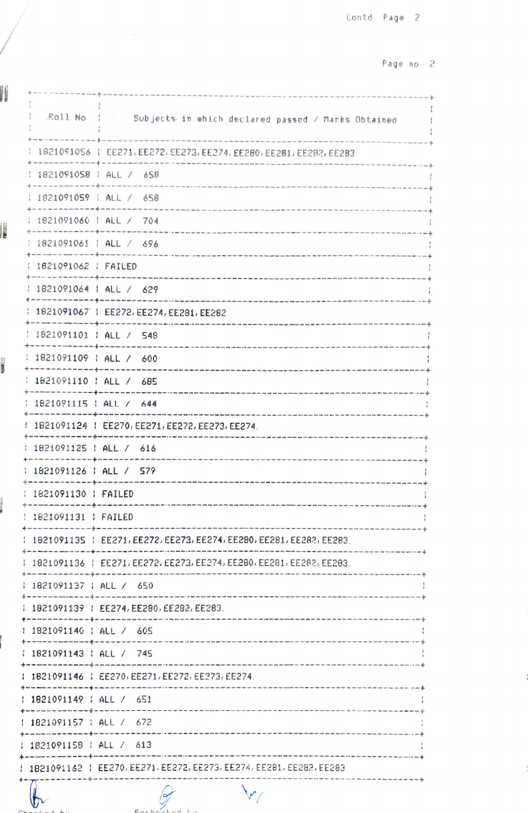Page no 2

|                        | .Roll No : : Subjects in which declared passed / Marks Obtained      |
|------------------------|----------------------------------------------------------------------|
|                        | 1821091056   EE271, EE272, EE273, EE274, EE280, EE281, EE282, EE283. |
|                        | 1821091058   ALL / 658                                               |
| .<br>.<br>.<br>.       | 1821091059   ALL / 658                                               |
|                        | 1821091060   ALL / 704                                               |
|                        | 1821091061   ALL / 696                                               |
| 1821091062   FAILED    |                                                                      |
|                        | 1821091064   ALL / 629                                               |
|                        | 1821091067   EE272, EE274, EE281, EE282.                             |
|                        | 1821091101   ALL / 548                                               |
| ---------------------- | 1821091109   ALL / 600                                               |
|                        | 1821091110   ALL / 685                                               |
|                        | 1821091115   ALL / 644                                               |
|                        | 1821091124   EE270, EE271, EE272, EE273, EE274.                      |
|                        | 1821091125   ALL / 616<br>-------------------------------            |
|                        | 1821091126   ALL / 579                                               |
| 1821091130   FAILED    |                                                                      |
| 1821091131   FAILED    |                                                                      |
|                        |                                                                      |
|                        | 1821091136   EE271, EE272, EE273, EE274, EE280, EE281, EE282, EE283. |
|                        | 1821091137   ALL / 650                                               |
|                        | 1821091139   EE274, EE280, EE282, EE283.                             |
|                        | 1821091140   ALL / 605                                               |
|                        | ; 1821091143 ; ALL / 745                                             |
|                        |                                                                      |
|                        | 1821091149   ALL / 651                                               |
|                        | 1821091157 : ALL / 672                                               |
|                        | 1821091158   ALL / 613                                               |
|                        | 1821091162   EE270, EE271, EE272, EE273, EE274, EE281, EE282, EE283. |
|                        |                                                                      |

 $\sim$ 

I

Į

**CORE** 

 $\frac{1}{2}$